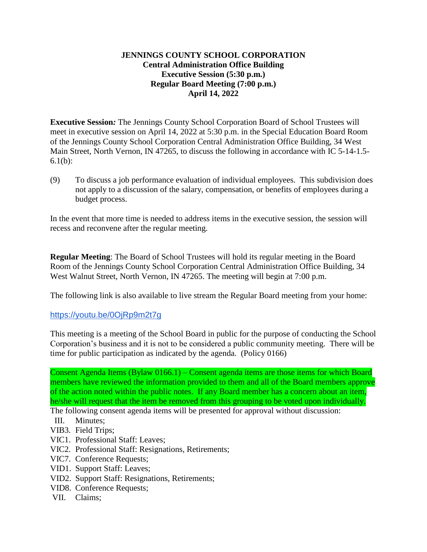## **JENNINGS COUNTY SCHOOL CORPORATION Central Administration Office Building Executive Session (5:30 p.m.) Regular Board Meeting (7:00 p.m.) April 14, 2022**

**Executive Session***:* The Jennings County School Corporation Board of School Trustees will meet in executive session on April 14, 2022 at 5:30 p.m. in the Special Education Board Room of the Jennings County School Corporation Central Administration Office Building, 34 West Main Street, North Vernon, IN 47265, to discuss the following in accordance with IC 5-14-1.5- 6.1(b):

(9) To discuss a job performance evaluation of individual employees. This subdivision does not apply to a discussion of the salary, compensation, or benefits of employees during a budget process.

In the event that more time is needed to address items in the executive session, the session will recess and reconvene after the regular meeting.

**Regular Meeting**: The Board of School Trustees will hold its regular meeting in the Board Room of the Jennings County School Corporation Central Administration Office Building, 34 West Walnut Street, North Vernon, IN 47265. The meeting will begin at 7:00 p.m.

The following link is also available to live stream the Regular Board meeting from your home:

<https://youtu.be/0OjRp9m2t7g>

This meeting is a meeting of the School Board in public for the purpose of conducting the School Corporation's business and it is not to be considered a public community meeting. There will be time for public participation as indicated by the agenda. (Policy 0166)

Consent Agenda Items (Bylaw 0166.1) – Consent agenda items are those items for which Board members have reviewed the information provided to them and all of the Board members approve of the action noted within the public notes. If any Board member has a concern about an item, he/she will request that the item be removed from this grouping to be voted upon individually.

The following consent agenda items will be presented for approval without discussion:

- III. Minutes;
- VIB3. Field Trips;
- VIC1. Professional Staff: Leaves;
- VIC2. Professional Staff: Resignations, Retirements;
- VIC7. Conference Requests;
- VID1. Support Staff: Leaves;
- VID2. Support Staff: Resignations, Retirements;
- VID8. Conference Requests;
- VII. Claims;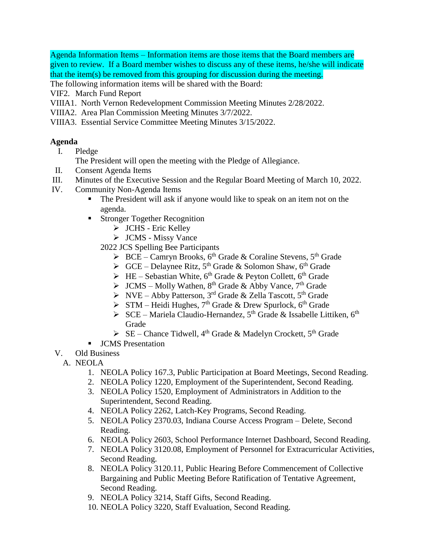Agenda Information Items – Information items are those items that the Board members are given to review. If a Board member wishes to discuss any of these items, he/she will indicate that the item(s) be removed from this grouping for discussion during the meeting.

The following information items will be shared with the Board:

VIF2. March Fund Report

- VIIIA1. North Vernon Redevelopment Commission Meeting Minutes 2/28/2022.
- VIIIA2. Area Plan Commission Meeting Minutes 3/7/2022.
- VIIIA3. Essential Service Committee Meeting Minutes 3/15/2022.

## **Agenda**

I. Pledge

The President will open the meeting with the Pledge of Allegiance.

- II. Consent Agenda Items
- III. Minutes of the Executive Session and the Regular Board Meeting of March 10, 2022.
- IV. Community Non-Agenda Items
	- The President will ask if anyone would like to speak on an item not on the agenda.
	- **Stronger Together Recognition** 
		- > JCHS Eric Kelley
		- > JCMS Missy Vance

2022 JCS Spelling Bee Participants

- $\triangleright$  BCE Camryn Brooks, 6<sup>th</sup> Grade & Coraline Stevens, 5<sup>th</sup> Grade
- $\triangleright$  GCE Delaynee Ritz, 5<sup>th</sup> Grade & Solomon Shaw, 6<sup>th</sup> Grade
- $\triangleright$  HE Sebastian White, 6<sup>th</sup> Grade & Peyton Collett, 6<sup>th</sup> Grade
- $\triangleright$  JCMS Molly Wathen, 8<sup>th</sup> Grade & Abby Vance, 7<sup>th</sup> Grade
- $\triangleright$  NVE Abby Patterson, 3<sup>rd</sup> Grade & Zella Tascott, 5<sup>th</sup> Grade
- $\triangleright$  STM Heidi Hughes, 7<sup>th</sup> Grade & Drew Spurlock, 6<sup>th</sup> Grade
- $\triangleright$  SCE Mariela Claudio-Hernandez, 5<sup>th</sup> Grade & Issabelle Littiken. 6<sup>th</sup> Grade
- $\triangleright$  SE Chance Tidwell, 4<sup>th</sup> Grade & Madelyn Crockett, 5<sup>th</sup> Grade
- **JCMS** Presentation
- V. Old Business
	- A. NEOLA
		- 1. NEOLA Policy 167.3, Public Participation at Board Meetings, Second Reading.
		- 2. NEOLA Policy 1220, Employment of the Superintendent, Second Reading.
		- 3. NEOLA Policy 1520, Employment of Administrators in Addition to the Superintendent, Second Reading.
		- 4. NEOLA Policy 2262, Latch-Key Programs, Second Reading.
		- 5. NEOLA Policy 2370.03, Indiana Course Access Program Delete, Second Reading.
		- 6. NEOLA Policy 2603, School Performance Internet Dashboard, Second Reading.
		- 7. NEOLA Policy 3120.08, Employment of Personnel for Extracurricular Activities, Second Reading.
		- 8. NEOLA Policy 3120.11, Public Hearing Before Commencement of Collective Bargaining and Public Meeting Before Ratification of Tentative Agreement, Second Reading.
		- 9. NEOLA Policy 3214, Staff Gifts, Second Reading.
		- 10. NEOLA Policy 3220, Staff Evaluation, Second Reading.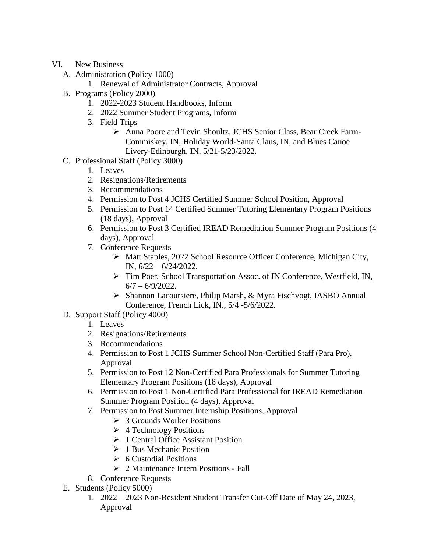- VI. New Business
	- A. Administration (Policy 1000)
		- 1. Renewal of Administrator Contracts, Approval
	- B. Programs (Policy 2000)
		- 1. 2022-2023 Student Handbooks, Inform
		- 2. 2022 Summer Student Programs, Inform
		- 3. Field Trips
			- Anna Poore and Tevin Shoultz, JCHS Senior Class, Bear Creek Farm-Commiskey, IN, Holiday World-Santa Claus, IN, and Blues Canoe Livery-Edinburgh, IN, 5/21-5/23/2022.
	- C. Professional Staff (Policy 3000)
		- 1. Leaves
		- 2. Resignations/Retirements
		- 3. Recommendations
		- 4. Permission to Post 4 JCHS Certified Summer School Position, Approval
		- 5. Permission to Post 14 Certified Summer Tutoring Elementary Program Positions (18 days), Approval
		- 6. Permission to Post 3 Certified IREAD Remediation Summer Program Positions (4 days), Approval
		- 7. Conference Requests
			- Matt Staples, 2022 School Resource Officer Conference, Michigan City, IN, 6/22 – 6/24/2022.
			- > Tim Poer, School Transportation Assoc. of IN Conference, Westfield, IN,  $6/7 - 6/9/2022$ .
			- Shannon Lacoursiere, Philip Marsh, & Myra Fischvogt, IASBO Annual Conference, French Lick, IN., 5/4 -5/6/2022.
	- D. Support Staff (Policy 4000)
		- 1. Leaves
		- 2. Resignations/Retirements
		- 3. Recommendations
		- 4. Permission to Post 1 JCHS Summer School Non-Certified Staff (Para Pro), Approval
		- 5. Permission to Post 12 Non-Certified Para Professionals for Summer Tutoring Elementary Program Positions (18 days), Approval
		- 6. Permission to Post 1 Non-Certified Para Professional for IREAD Remediation Summer Program Position (4 days), Approval
		- 7. Permission to Post Summer Internship Positions, Approval
			- 3 Grounds Worker Positions
			- $\triangleright$  4 Technology Positions
			- $\triangleright$  1 Central Office Assistant Position
			- $\geq 1$  Bus Mechanic Position
			- $\triangleright$  6 Custodial Positions
			- $\geq 2$  Maintenance Intern Positions Fall
		- 8. Conference Requests
	- E. Students (Policy 5000)
		- 1. 2022 2023 Non-Resident Student Transfer Cut-Off Date of May 24, 2023, Approval